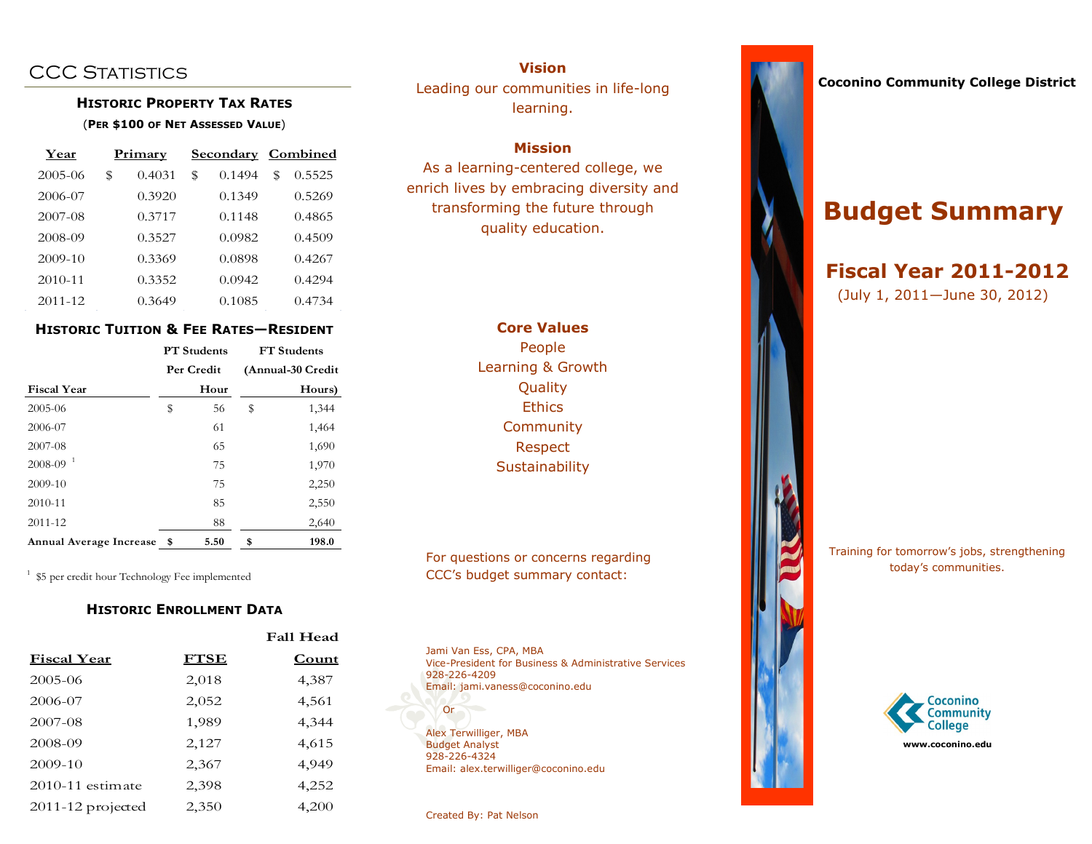## **CCC STATISTICS**

## **HISTORIC PROPERTY TAX RATES** (**PER \$100 OF NET ASSESSED VALUE**)

| Year    | Primary |        |              | <b>Secondary Combined</b> |        |  |  |  |
|---------|---------|--------|--------------|---------------------------|--------|--|--|--|
| 2005-06 | \$      | 0.4031 | \$<br>0.1494 | \$                        | 0.5525 |  |  |  |
| 2006-07 |         | 0.3920 | 0.1349       |                           | 0.5269 |  |  |  |
| 2007-08 |         | 0.3717 | 0.1148       |                           | 0.4865 |  |  |  |
| 2008-09 |         | 0.3527 | 0.0982       |                           | 0.4509 |  |  |  |
| 2009-10 |         | 0.3369 | 0.0898       |                           | 0.4267 |  |  |  |
| 2010-11 |         | 0.3352 | 0.0942       |                           | 0.4294 |  |  |  |
| 2011-12 |         | 0.3649 | 0.1085       |                           | 0.4734 |  |  |  |

## **HISTORIC TUITION & FEE RATES—RESIDENT**

|                         |            | <b>PT</b> Students | <b>FT</b> Students |                   |  |  |  |  |
|-------------------------|------------|--------------------|--------------------|-------------------|--|--|--|--|
|                         | Per Credit |                    |                    | (Annual-30 Credit |  |  |  |  |
| <b>Fiscal Year</b>      |            | Hour               |                    | Hours)            |  |  |  |  |
| 2005-06                 | \$         | 56                 | \$                 | 1,344             |  |  |  |  |
| 2006-07                 |            | 61                 |                    | 1,464             |  |  |  |  |
| 2007-08                 |            | 65                 |                    | 1,690             |  |  |  |  |
| $2008 - 09^{-1}$        |            | 75                 |                    | 1,970             |  |  |  |  |
| 2009-10                 |            | 75                 |                    | 2,250             |  |  |  |  |
| 2010-11                 |            | 85                 |                    | 2,550             |  |  |  |  |
| 2011-12                 |            | 88                 |                    | 2,640             |  |  |  |  |
| Annual Average Increase | - \$       | 5.50               | \$                 | 198.0             |  |  |  |  |

<sup>1</sup> \$5 per credit hour Technology Fee implemented

## **HISTORIC ENROLLMENT DATA**

|                      |             | <b>Fall Head</b> |  |  |  |  |
|----------------------|-------------|------------------|--|--|--|--|
| <b>Fiscal Year</b>   | <b>FTSE</b> | Count            |  |  |  |  |
| 2005-06              | 2,018       | 4,387            |  |  |  |  |
| 2006-07              | 2,052       | 4,561            |  |  |  |  |
| 2007-08              | 1,989       | 4,344            |  |  |  |  |
| 2008-09              | 2,127       | 4,615            |  |  |  |  |
| 2009-10              | 2,367       | 4,949            |  |  |  |  |
| $2010 - 11$ estimate | 2,398       | 4,252            |  |  |  |  |
| $2011-12$ projected  | 2,350       | 4,200            |  |  |  |  |

**Vision** Leading our communities in life-long learning.

## **Mission**

As a learning-centered college, we enrich lives by embracing diversity and transforming the future through quality education.

> **Core Values** People Learning & Growth Quality **Ethics Community** Respect **Sustainability**

For questions or concerns regarding CCC's budget summary contact:

Jami Van Ess, CPA, MBA Vice-President for Business & Administrative Services 928-226-4209 Email: jami.vaness@coconino.edu

Alex Terwilliger, MBA Budget Analyst 928-226-4324 Email: alex.terwilliger@coconino.edu

Created By: Pat Nelson



# **Budget Summary**

## **Fiscal Year 2011-2012** (July 1, 2011—June 30, 2012)

Training for tomorrow's jobs, strengthening today's communities.



Or